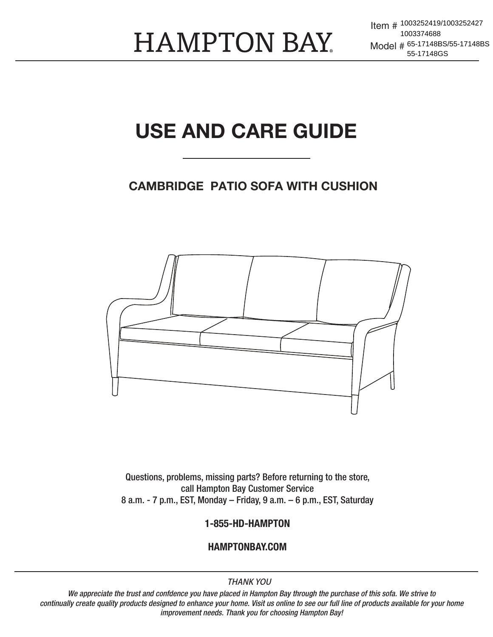**HAMPTON BAY** 

Item # 1003252419/1003252427 Model # 65-17148BS/55-17148BS 1003374688 55-17148GS

# USE AND CARE GUIDE

#### CAMBRIDGE PATIO SOFA WITH CUSHION



Questions, problems, missing parts? Before returning to the store, call Hampton Bay Customer Service 8 a.m. - 7 p.m., EST, Monday – Friday, 9 a.m. – 6 p.m., EST, Saturday

#### 1-855-HD-HAMPTON

#### HAMPTONBAY.COM

#### **THANK YOU**

*We appreciate the trust and confdence you have placed in Hampton Bay through the purchase of this sofa. We strive to continually create quality products designed to enhance your home. Visit us online to see our full line of products available for your home improvement needs. Thank you for choosing Hampton Bay!*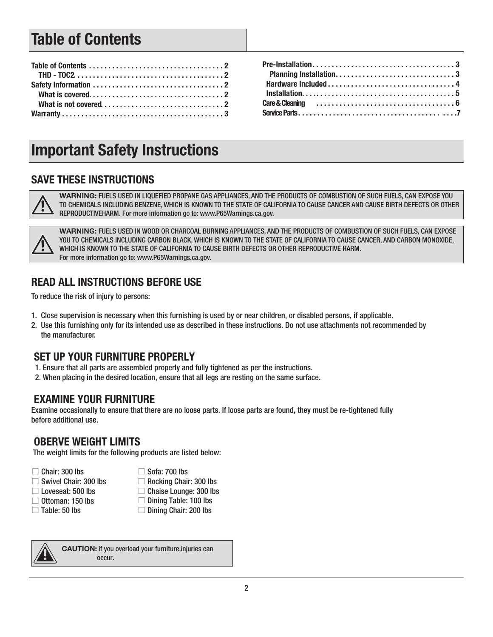# Table of Contents

# Important Safety Instructions

#### SAVE THESE INSTRUCTIONS

WARNING: FUELS USED IN LIQUEFIED PROPANE GAS APPLIANCES, AND THE PRODUCTS OF COMBUSTION OF SUCH FUELS, CAN EXPOSE YOU TO CHEMICALS INCLUDING BENZENE, WHICH IS KNOWN TO THE STATE OF CALIFORNIA TO CAUSE CANCER AND CAUSE BIRTH DEFECTS OR OTHER REPRODUCTIVEHARM. For more information go to: www.P65Warnings.ca.gov.



WARNING: FUELS USED IN WOOD OR CHARCOAL BURNING APPLIANCES, AND THE PRODUCTS OF COMBUSTION OF SUCH FUELS, CAN EXPOSE YOU TO CHEMICALS INCLUDING CARBON BLACK, WHICH IS KNOWN TO THE STATE OF CALIFORNIA TO CAUSE CANCER, AND CARBON MONOXIDE, WHICH IS KNOWN TO THE STATE OF CALIFORNIA TO CAUSE BIRTH DEFECTS OR OTHER REPRODUCTIVE HARM. For more information go to: www.P65Warnings.ca.gov.

#### READ ALL INSTRUCTIONS BEFORE USE

To reduce the risk of injury to persons:

- 1. Close supervision is necessary when this furnishing is used by or near children, or disabled persons, if applicable.
- 2. Use this furnishing only for its intended use as described in these instructions. Do not use attachments not recommended by the manufacturer.

#### SET UP YOUR FURNITURE PROPERLY

- 1. Ensure that all parts are assembled properly and fully tightened as per the instructions.
- 2. When placing in the desired location, ensure that all legs are resting on the same surface.

#### EXAMINE YOUR FURNITURE

Examine occasionally to ensure that there are no loose parts. If loose parts are found, they must be re-tightened fully before additional use.

#### OBERVE WEIGHT LIMITS

The weight limits for the following products are listed below:

|  | $\Box$ Chair: 300 lbs |  |  |
|--|-----------------------|--|--|
|--|-----------------------|--|--|

- $\Box$  Swivel Chair: 300 lbs
- □ Loveseat: 500 lbs
- 
- 
- □ Ottoman: 150 lbs
- $\Box$  Table: 50 lbs
- $\Box$  Sofa: 700 lbs  $\Box$  Rocking Chair: 300 lbs
- □ Chaise Lounge: 300 lbs
- $\Box$  Dining Table: 100 lbs
- □ Dining Chair: 200 lbs



CAUTION: If you overload your furniture,injuries can occur.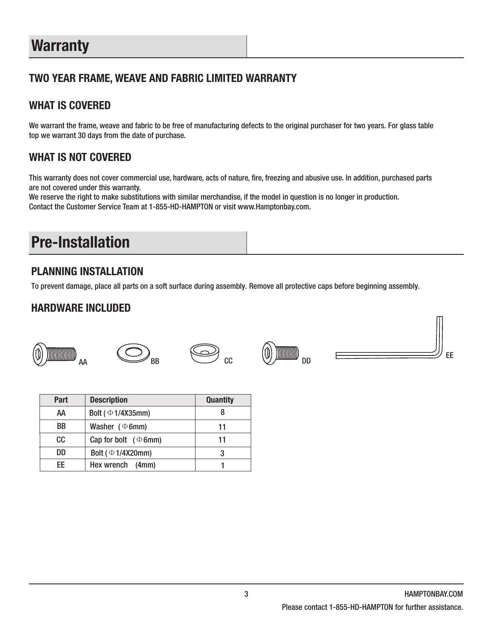# **Warranty**

#### TWO YEAR FRAME, WEAVE AND FABRIC LIMITED WARRANTY

#### WHAT IS COVERED

We warrant the frame, weave and fabric to be free of manufacturing defects to the original purchaser for two years. For glass table top we warrant 30 days from the date of purchase.

#### WHAT IS NOT COVERED

This warranty does not cover commercial use, hardware, acts of nature, fire, freezing and abusive use. In addition, purchased parts are not covered under this warranty.

We reserve the right to make substitutions with similar merchandise, if the model in question is no longer in production. Contact the Customer Service Team at 1-855-HD-HAMPTON or visit www.Hamptonbay.com.

# Pre-Installation

#### PLANNING INSTALLATION

To prevent damage, place all parts on a soft surface during assembly. Remove all protective caps before beginning assembly.

#### HARDWARE INCLUDED











| Part      | <b>Description</b>        | <b>Quantity</b> |
|-----------|---------------------------|-----------------|
| AA        | Bolt ( $\Phi$ 1/4X35mm)   |                 |
| <b>BB</b> | Washer $(\Phi 6mm)$       | 11              |
| CC.       | Cap for bolt $(\Phi 6mm)$ | 11              |
| DD        | Bolt ( ⊕ 1/4X20mm)        |                 |
| FF        | Hex wrench (4mm)          |                 |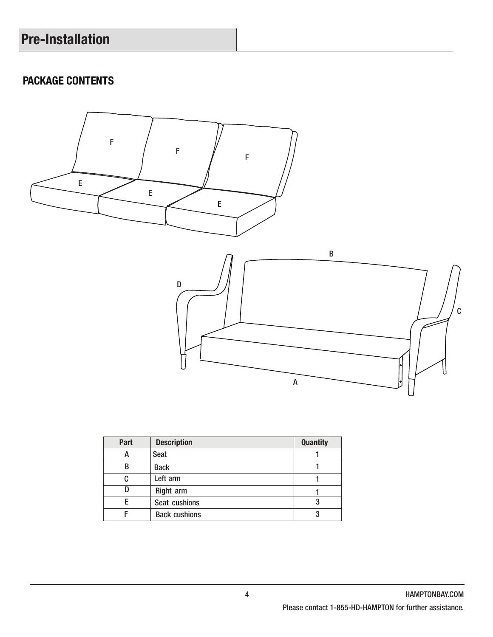# Pre-Installation

### PACKAGE CONTENTS



| Part | <b>Description</b>   | <b>Quantity</b> |
|------|----------------------|-----------------|
| A    | <b>Seat</b>          |                 |
| В    | <b>Back</b>          |                 |
| C    | Left arm             |                 |
|      | Right arm            |                 |
|      | Seat cushions        |                 |
|      | <b>Back cushions</b> |                 |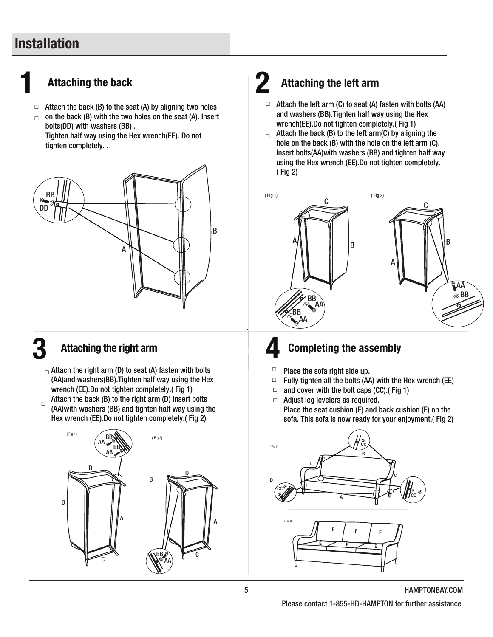# Installation

## Attaching the back  $\boldsymbol{2}$

- $\Box$  Attach the back (B) to the seat (A) by aligning two holes
- on the back (B) with the two holes on the seat (A). Insert bolts(DD) with washers (BB) . Tighten half way using the Hex wrench(EE). Do not □

tighten completely. . DD BB



B

#### Attaching the right arm

 $_\square$  Attach the right arm (D) to seat (A) fasten with bolts (AA)and washers(BB).Tighten half way using the Hex wrench (EE).Do not tighten completely.( Fig 1) Attach the back (B) to the right arm (D) insert bolts

 $\Box$ (AA)with washers (BB) and tighten half way using the Hex wrench (EE).Do not tighten completely.( Fig 2)



# Attaching the left arm

- $\Box$  Attach the left arm (C) to seat (A) fasten with bolts (AA) and washers (BB).Tighten half way using the Hex wrench(EE).Do not tighten completely.( Fig 1)
- Attach the back (B) to the left arm(C) by aligning the hole on the back (B) with the hole on the left arm (C). Insert bolts(AA)with washers (BB) and tighten half way using the Hex wrench (EE).Do not tighten completely. ( Fig 2) □



# **Completing the assembly**

- □ Place the sofa right side up.
- □ Fully tighten all the bolts (AA) with the Hex wrench (EE)
- and cover with the bolt caps (CC).( Fig 1) □
- □ Adjust leg levelers as required. Place the seat cushion (E) and back cushion (F) on the sofa. This sofa is now ready for your enjoyment.( Fig 2)



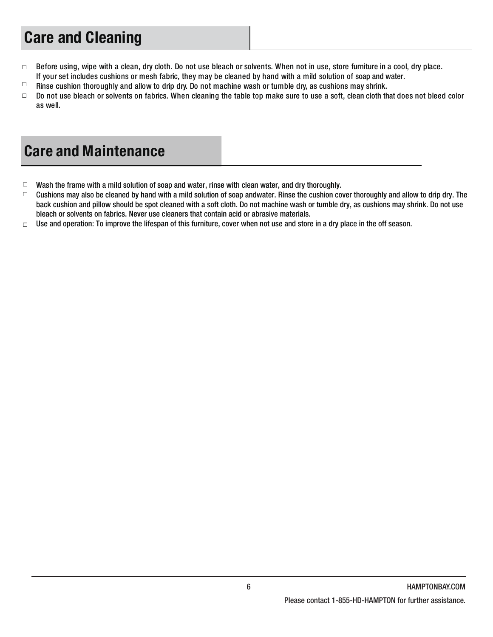# Care and Cleaning

- □ Before using, wipe with a clean, dry cloth. Do not use bleach or solvents. When not in use, store furniture in a cool, dry place. If your set includes cushions or mesh fabric, they may be cleaned by hand with a mild solution of soap and water.
- □ Rinse cushion thoroughly and allow to drip dry. Do not machine wash or tumble dry, as cushions may shrink.
- □ Do not use bleach or solvents on fabrics. When cleaning the table top make sure to use a soft, clean cloth that does not bleed color as well.

# Care and Maintenance

- Wash the frame with a mild solution of soap and water, rinse with clean water, and dry thoroughly.  $\Box$
- Cushions may also be cleaned by hand with a mild solution of soap andwater. Rinse the cushion cover thoroughly and allow to drip dry. The back cushion and pillow should be spot cleaned with a soft cloth. Do not machine wash or tumble dry, as cushions may shrink. Do not use bleach or solvents on fabrics. Never use cleaners that contain acid or abrasive materials.  $\Box$
- Use and operation: To improve the lifespan of this furniture, cover when not use and store in a dry place in the off season. □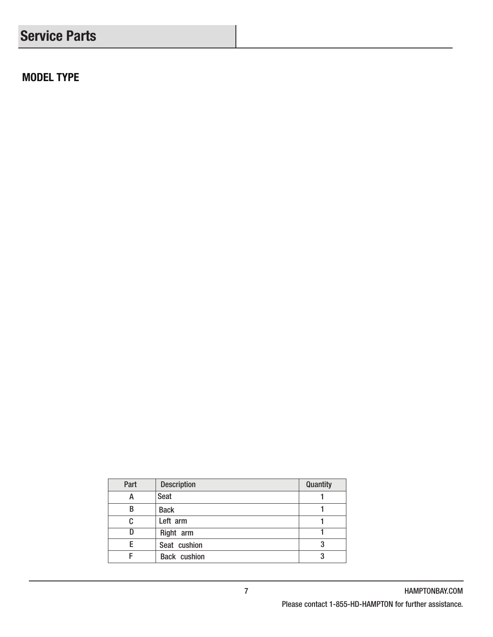# Service Parts

MODEL TYPE

| Part | <b>Description</b>  | Quantity |
|------|---------------------|----------|
| А    | Seat                |          |
| В    | <b>Back</b>         |          |
| C    | Left arm            |          |
|      | Right arm           |          |
|      | Seat cushion        | 3        |
|      | <b>Back cushion</b> | 3        |